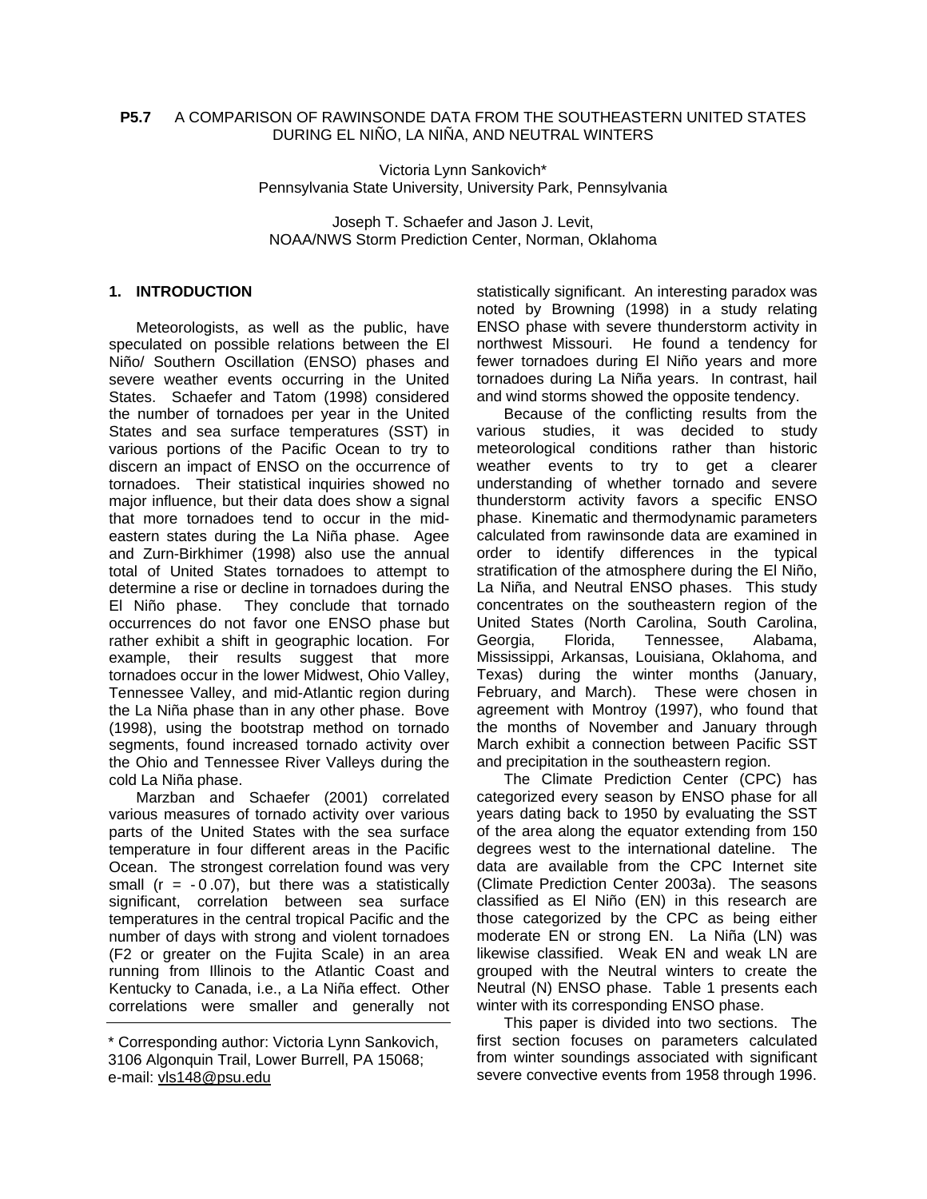### **P5.7** A COMPARISON OF RAWINSONDE DATA FROM THE SOUTHEASTERN UNITED STATES DURING EL NIÑO, LA NIÑA, AND NEUTRAL WINTERS

Victoria Lynn Sankovich\* Pennsylvania State University, University Park, Pennsylvania

Joseph T. Schaefer and Jason J. Levit, NOAA/NWS Storm Prediction Center, Norman, Oklahoma

### **1. INTRODUCTION**

Meteorologists, as well as the public, have speculated on possible relations between the El Niño/ Southern Oscillation (ENSO) phases and severe weather events occurring in the United States. Schaefer and Tatom (1998) considered the number of tornadoes per year in the United States and sea surface temperatures (SST) in various portions of the Pacific Ocean to try to discern an impact of ENSO on the occurrence of tornadoes. Their statistical inquiries showed no major influence, but their data does show a signal that more tornadoes tend to occur in the mideastern states during the La Niña phase. Agee and Zurn-Birkhimer (1998) also use the annual total of United States tornadoes to attempt to determine a rise or decline in tornadoes during the El Niño phase. They conclude that tornado occurrences do not favor one ENSO phase but rather exhibit a shift in geographic location. For example, their results suggest that more tornadoes occur in the lower Midwest, Ohio Valley, Tennessee Valley, and mid-Atlantic region during the La Niña phase than in any other phase. Bove (1998), using the bootstrap method on tornado segments, found increased tornado activity over the Ohio and Tennessee River Valleys during the cold La Niña phase.

Marzban and Schaefer (2001) correlated various measures of tornado activity over various parts of the United States with the sea surface temperature in four different areas in the Pacific Ocean. The strongest correlation found was very small ( $r = -0.07$ ), but there was a statistically significant, correlation between sea surface temperatures in the central tropical Pacific and the number of days with strong and violent tornadoes (F2 or greater on the Fujita Scale) in an area running from Illinois to the Atlantic Coast and Kentucky to Canada, i.e., a La Niña effect. Other correlations were smaller and generally not statistically significant. An interesting paradox was noted by Browning (1998) in a study relating ENSO phase with severe thunderstorm activity in northwest Missouri. He found a tendency for fewer tornadoes during El Niño years and more tornadoes during La Niña years. In contrast, hail and wind storms showed the opposite tendency.

Because of the conflicting results from the various studies, it was decided to study meteorological conditions rather than historic weather events to try to get a clearer understanding of whether tornado and severe thunderstorm activity favors a specific ENSO phase. Kinematic and thermodynamic parameters calculated from rawinsonde data are examined in order to identify differences in the typical stratification of the atmosphere during the El Niño, La Niña, and Neutral ENSO phases. This study concentrates on the southeastern region of the United States (North Carolina, South Carolina, Georgia, Florida, Tennessee, Alabama, Mississippi, Arkansas, Louisiana, Oklahoma, and Texas) during the winter months (January, February, and March). These were chosen in agreement with Montroy (1997), who found that the months of November and January through March exhibit a connection between Pacific SST and precipitation in the southeastern region.

The Climate Prediction Center (CPC) has categorized every season by ENSO phase for all years dating back to 1950 by evaluating the SST of the area along the equator extending from 150 degrees west to the international dateline. The data are available from the CPC Internet site (Climate Prediction Center 2003a). The seasons classified as El Niño (EN) in this research are those categorized by the CPC as being either moderate EN or strong EN. La Niña (LN) was likewise classified. Weak EN and weak LN are grouped with the Neutral winters to create the Neutral (N) ENSO phase. Table 1 presents each winter with its corresponding ENSO phase.

This paper is divided into two sections. The first section focuses on parameters calculated from winter soundings associated with significant severe convective events from 1958 through 1996.

<sup>\*</sup> Corresponding author: Victoria Lynn Sankovich, 3106 Algonquin Trail, Lower Burrell, PA 15068; e-mail: vls148@psu.edu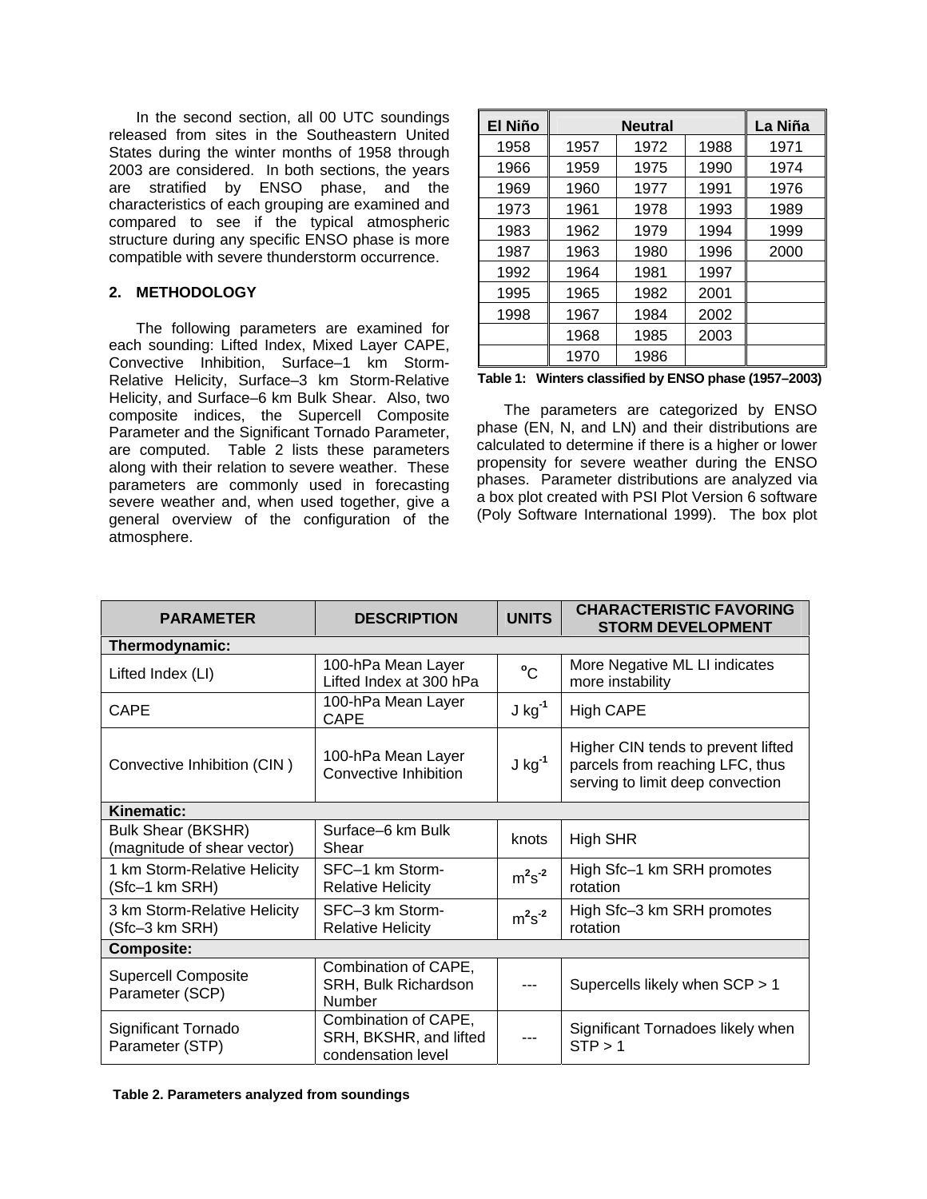In the second section, all 00 UTC soundings released from sites in the Southeastern United States during the winter months of 1958 through 2003 are considered. In both sections, the years are stratified by ENSO phase, and the characteristics of each grouping are examined and compared to see if the typical atmospheric structure during any specific ENSO phase is more compatible with severe thunderstorm occurrence.

### **2. METHODOLOGY**

The following parameters are examined for each sounding: Lifted Index, Mixed Layer CAPE, Convective Inhibition, Surface–1 km Storm-Relative Helicity, Surface–3 km Storm-Relative Helicity, and Surface–6 km Bulk Shear. Also, two composite indices, the Supercell Composite Parameter and the Significant Tornado Parameter, are computed. Table 2 lists these parameters along with their relation to severe weather. These parameters are commonly used in forecasting severe weather and, when used together, give a general overview of the configuration of the atmosphere.

| El Niño |      | La Niña |      |      |
|---------|------|---------|------|------|
| 1958    | 1957 | 1972    | 1988 | 1971 |
| 1966    | 1959 | 1975    | 1990 | 1974 |
| 1969    | 1960 | 1977    | 1991 | 1976 |
| 1973    | 1961 | 1978    | 1993 | 1989 |
| 1983    | 1962 | 1979    | 1994 | 1999 |
| 1987    | 1963 | 1980    | 1996 | 2000 |
| 1992    | 1964 | 1981    | 1997 |      |
| 1995    | 1965 | 1982    | 2001 |      |
| 1998    | 1967 | 1984    | 2002 |      |
|         | 1968 | 1985    | 2003 |      |
|         | 1970 | 1986    |      |      |

|  |  |  |  |  | Table 1: Winters classified by ENSO phase (1957–2003) |
|--|--|--|--|--|-------------------------------------------------------|
|--|--|--|--|--|-------------------------------------------------------|

The parameters are categorized by ENSO phase (EN, N, and LN) and their distributions are calculated to determine if there is a higher or lower propensity for severe weather during the ENSO phases. Parameter distributions are analyzed via a box plot created with PSI Plot Version 6 software (Poly Software International 1999). The box plot

| <b>PARAMETER</b>                                         | <b>DESCRIPTION</b>                                                   | <b>UNITS</b> | <b>CHARACTERISTIC FAVORING</b><br><b>STORM DEVELOPMENT</b>                                                |  |  |  |
|----------------------------------------------------------|----------------------------------------------------------------------|--------------|-----------------------------------------------------------------------------------------------------------|--|--|--|
| Thermodynamic:                                           |                                                                      |              |                                                                                                           |  |  |  |
| Lifted Index (LI)                                        | 100-hPa Mean Layer<br>Lifted Index at 300 hPa                        | °C           | More Negative ML LI indicates<br>more instability                                                         |  |  |  |
| <b>CAPE</b>                                              | 100-hPa Mean Layer<br>CAPE                                           | $J kg-1$     | <b>High CAPE</b>                                                                                          |  |  |  |
| Convective Inhibition (CIN)                              | 100-hPa Mean Layer<br>Convective Inhibition                          | $J kg-1$     | Higher CIN tends to prevent lifted<br>parcels from reaching LFC, thus<br>serving to limit deep convection |  |  |  |
| Kinematic:                                               |                                                                      |              |                                                                                                           |  |  |  |
| <b>Bulk Shear (BKSHR)</b><br>(magnitude of shear vector) | Surface-6 km Bulk<br>Shear                                           | knots        | <b>High SHR</b>                                                                                           |  |  |  |
| 1 km Storm-Relative Helicity<br>(Sfc-1 km SRH)           | SFC-1 km Storm-<br><b>Relative Helicity</b>                          | $m2s-2$      | High Sfc-1 km SRH promotes<br>rotation                                                                    |  |  |  |
| 3 km Storm-Relative Helicity<br>(Sfc-3 km SRH)           | SFC-3 km Storm-<br><b>Relative Helicity</b>                          | $m2s-2$      | High Sfc-3 km SRH promotes<br>rotation                                                                    |  |  |  |
| <b>Composite:</b>                                        |                                                                      |              |                                                                                                           |  |  |  |
| <b>Supercell Composite</b><br>Parameter (SCP)            | Combination of CAPE,<br>SRH, Bulk Richardson<br><b>Number</b>        |              | Supercells likely when SCP > 1                                                                            |  |  |  |
| Significant Tornado<br>Parameter (STP)                   | Combination of CAPE,<br>SRH, BKSHR, and lifted<br>condensation level |              | Significant Tornadoes likely when<br>STP > 1                                                              |  |  |  |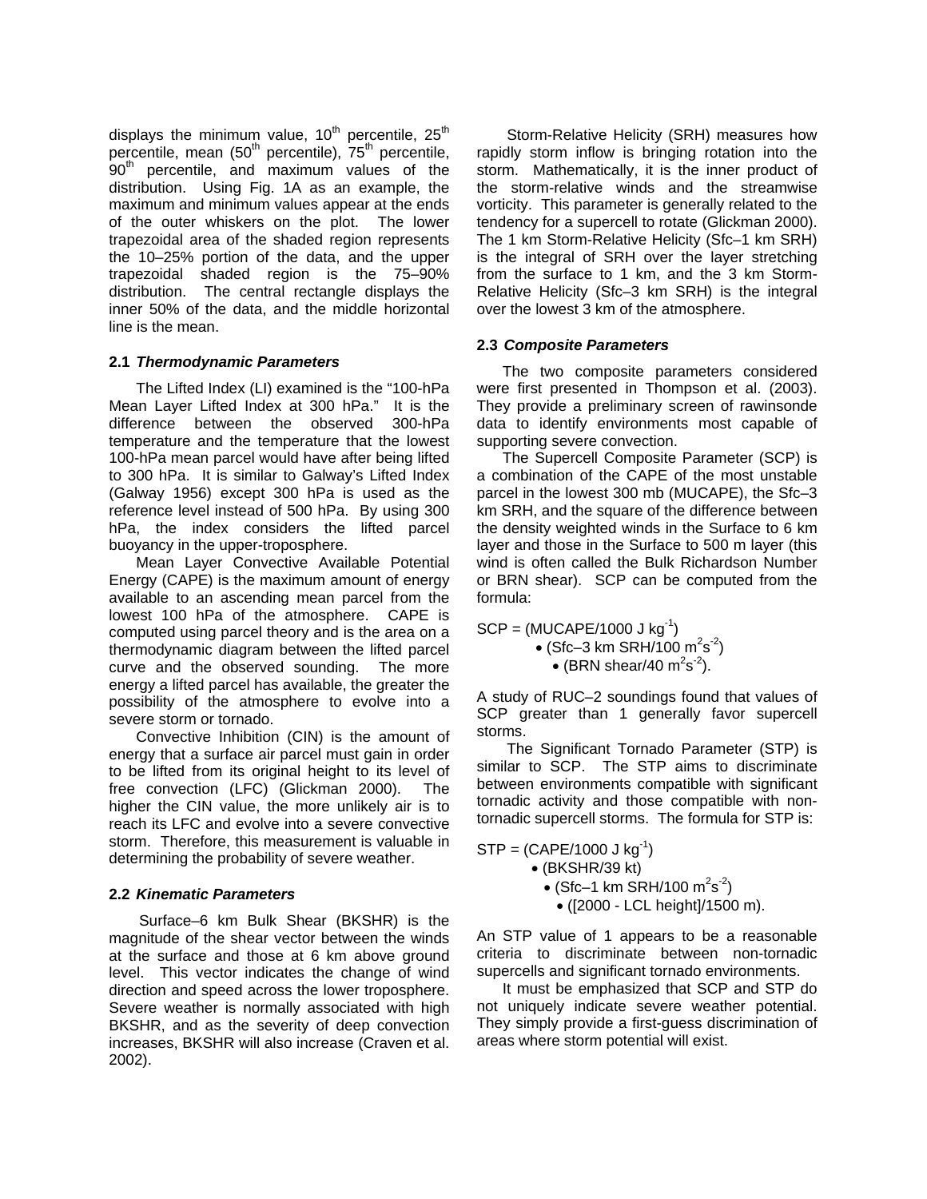displays the minimum value, 10<sup>th</sup> percentile, 25<sup>th</sup> percentile, mean (50<sup>th</sup> percentile), 75<sup>th</sup> percentile, .<br>90<sup>th</sup> percentile, and maximum values of the distribution. Using Fig. 1A as an example, the maximum and minimum values appear at the ends of the outer whiskers on the plot. The lower trapezoidal area of the shaded region represents the 10–25% portion of the data, and the upper trapezoidal shaded region is the 75–90% distribution. The central rectangle displays the inner 50% of the data, and the middle horizontal line is the mean.

### **2.1** *Thermodynamic Parameters*

The Lifted Index (LI) examined is the "100-hPa Mean Layer Lifted Index at 300 hPa." It is the difference between the observed 300-hPa temperature and the temperature that the lowest 100-hPa mean parcel would have after being lifted to 300 hPa. It is similar to Galway's Lifted Index (Galway 1956) except 300 hPa is used as the reference level instead of 500 hPa. By using 300 hPa, the index considers the lifted parcel buoyancy in the upper-troposphere.

Mean Layer Convective Available Potential Energy (CAPE) is the maximum amount of energy available to an ascending mean parcel from the lowest 100 hPa of the atmosphere. CAPE is computed using parcel theory and is the area on a thermodynamic diagram between the lifted parcel curve and the observed sounding. The more energy a lifted parcel has available, the greater the possibility of the atmosphere to evolve into a severe storm or tornado.

Convective Inhibition (CIN) is the amount of energy that a surface air parcel must gain in order to be lifted from its original height to its level of free convection (LFC) (Glickman 2000). The higher the CIN value, the more unlikely air is to reach its LFC and evolve into a severe convective storm. Therefore, this measurement is valuable in determining the probability of severe weather.

## **2.2** *Kinematic Parameters*

Surface–6 km Bulk Shear (BKSHR) is the magnitude of the shear vector between the winds at the surface and those at 6 km above ground level. This vector indicates the change of wind direction and speed across the lower troposphere. Severe weather is normally associated with high BKSHR, and as the severity of deep convection increases, BKSHR will also increase (Craven et al. 2002).

Storm-Relative Helicity (SRH) measures how rapidly storm inflow is bringing rotation into the storm. Mathematically, it is the inner product of the storm-relative winds and the streamwise vorticity. This parameter is generally related to the tendency for a supercell to rotate (Glickman 2000). The 1 km Storm-Relative Helicity (Sfc–1 km SRH) is the integral of SRH over the layer stretching from the surface to 1 km, and the 3 km Storm-Relative Helicity (Sfc–3 km SRH) is the integral over the lowest 3 km of the atmosphere.

### **2.3** *Composite Parameters*

The two composite parameters considered were first presented in Thompson et al. (2003). They provide a preliminary screen of rawinsonde data to identify environments most capable of supporting severe convection.

The Supercell Composite Parameter (SCP) is a combination of the CAPE of the most unstable parcel in the lowest 300 mb (MUCAPE), the Sfc–3 km SRH, and the square of the difference between the density weighted winds in the Surface to 6 km layer and those in the Surface to 500 m layer (this wind is often called the Bulk Richardson Number or BRN shear). SCP can be computed from the formula:

 $SCP = (MUCAPE/1000 J kg^{-1})$ • (Sfc–3 km SRH/100 m<sup>2</sup>s<sup>-2</sup>) • (BRN shear/40  $\text{m}^2\text{s}^2$ ).

A study of RUC–2 soundings found that values of SCP greater than 1 generally favor supercell storms.

The Significant Tornado Parameter (STP) is similar to SCP. The STP aims to discriminate between environments compatible with significant tornadic activity and those compatible with nontornadic supercell storms. The formula for STP is:

 $STP = (CAPE/1000 J kg^{-1})$  • (BKSHR/39 kt)  $\bullet$  (Sfc–1 km SRH/100 m<sup>2</sup>s<sup>-2</sup>) • ([2000 - LCL height]/1500 m).

An STP value of 1 appears to be a reasonable criteria to discriminate between non-tornadic supercells and significant tornado environments.

It must be emphasized that SCP and STP do not uniquely indicate severe weather potential. They simply provide a first-guess discrimination of areas where storm potential will exist.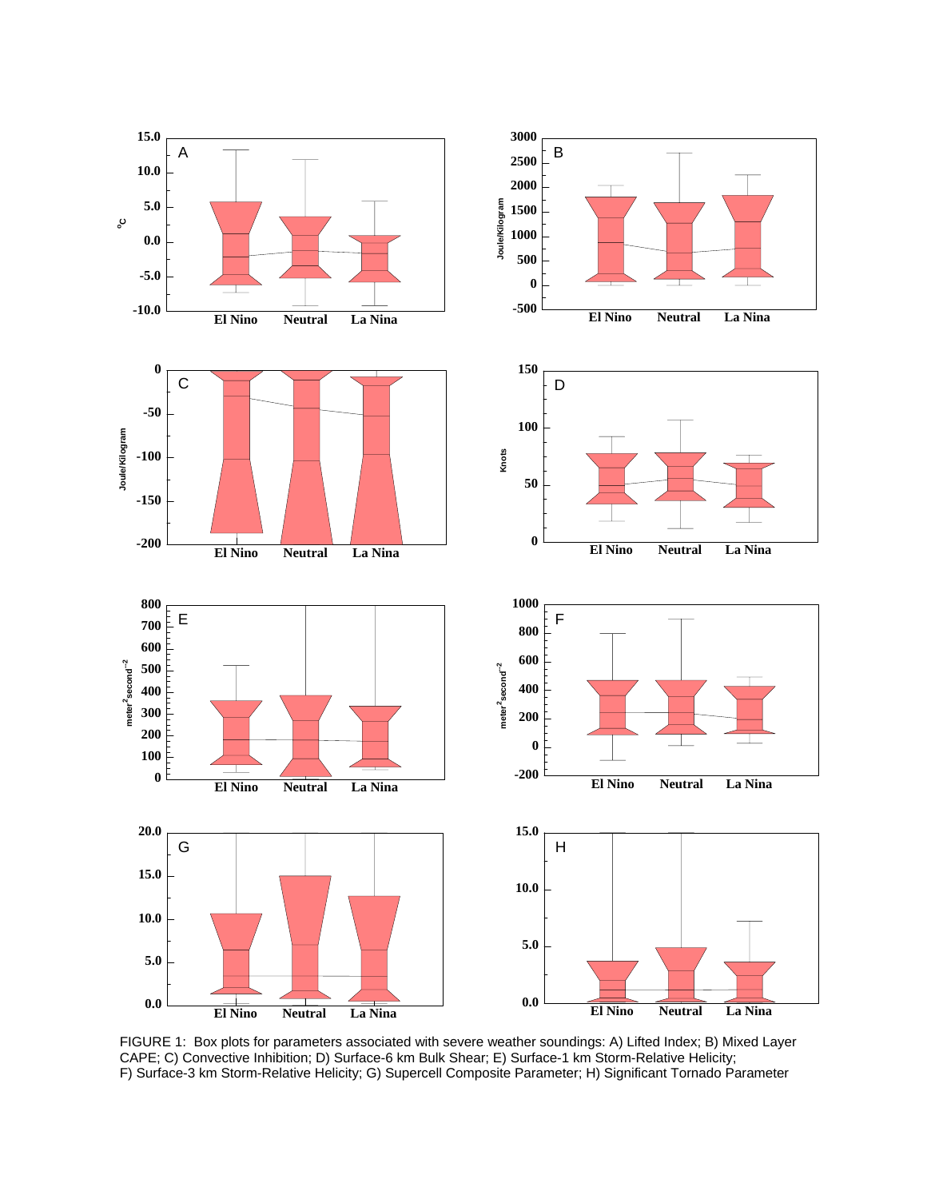

FIGURE 1: Box plots for parameters associated with severe weather soundings: A) Lifted Index; B) Mixed Layer CAPE; C) Convective Inhibition; D) Surface-6 km Bulk Shear; E) Surface-1 km Storm-Relative Helicity; F) Surface-3 km Storm-Relative Helicity; G) Supercell Composite Parameter; H) Significant Tornado Parameter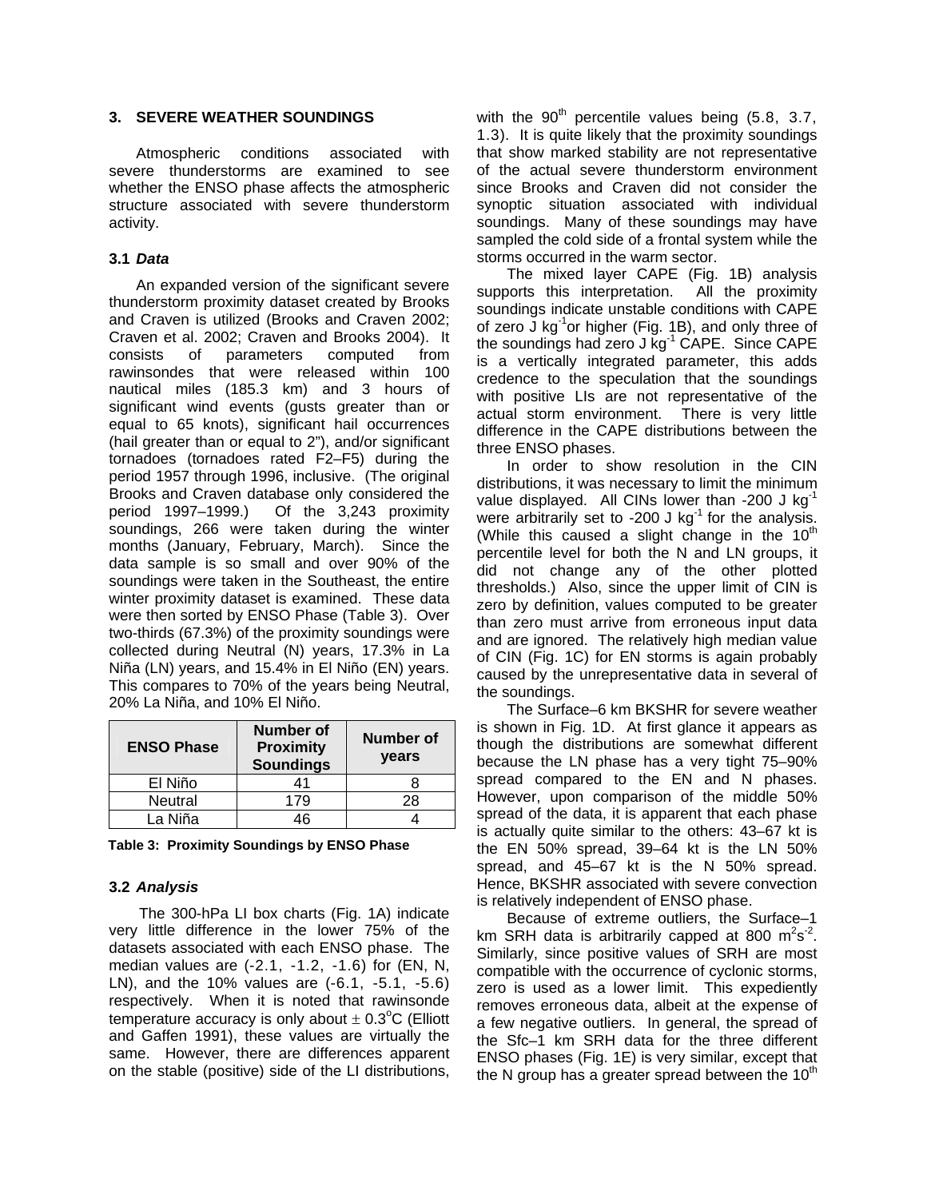#### **3. SEVERE WEATHER SOUNDINGS**

Atmospheric conditions associated with severe thunderstorms are examined to see whether the ENSO phase affects the atmospheric structure associated with severe thunderstorm activity.

#### **3.1** *Data*

An expanded version of the significant severe thunderstorm proximity dataset created by Brooks and Craven is utilized (Brooks and Craven 2002; Craven et al. 2002; Craven and Brooks 2004). It consists of parameters computed from rawinsondes that were released within 100 nautical miles (185.3 km) and 3 hours of significant wind events (gusts greater than or equal to 65 knots), significant hail occurrences (hail greater than or equal to 2"), and/or significant tornadoes (tornadoes rated F2–F5) during the period 1957 through 1996, inclusive. (The original Brooks and Craven database only considered the period 1997–1999.) Of the 3,243 proximity soundings, 266 were taken during the winter months (January, February, March). Since the data sample is so small and over 90% of the soundings were taken in the Southeast, the entire winter proximity dataset is examined. These data were then sorted by ENSO Phase (Table 3). Over two-thirds (67.3%) of the proximity soundings were collected during Neutral (N) years, 17.3% in La Niña (LN) years, and 15.4% in El Niño (EN) years. This compares to 70% of the years being Neutral, 20% La Niña, and 10% El Niño.

| <b>ENSO Phase</b> | <b>Number of</b><br><b>Proximity</b><br><b>Soundings</b> | Number of<br>years |
|-------------------|----------------------------------------------------------|--------------------|
| El Niño           | 41                                                       |                    |
| <b>Neutral</b>    | 179                                                      | 28                 |
| La Niña           | เค                                                       |                    |

**Table 3: Proximity Soundings by ENSO Phase**

#### **3.2** *Analysis*

The 300-hPa LI box charts (Fig. 1A) indicate very little difference in the lower 75% of the datasets associated with each ENSO phase. The median values are (-2.1, -1.2, -1.6) for (EN, N, LN), and the 10% values are (-6.1, -5.1, -5.6) respectively. When it is noted that rawinsonde temperature accuracy is only about  $\pm$  0.3°C (Elliott and Gaffen 1991), these values are virtually the same. However, there are differences apparent on the stable (positive) side of the LI distributions,

with the  $90<sup>th</sup>$  percentile values being (5.8, 3.7, 1.3). It is quite likely that the proximity soundings that show marked stability are not representative of the actual severe thunderstorm environment since Brooks and Craven did not consider the synoptic situation associated with individual soundings. Many of these soundings may have sampled the cold side of a frontal system while the storms occurred in the warm sector.

The mixed layer CAPE (Fig. 1B) analysis supports this interpretation. All the proximity soundings indicate unstable conditions with CAPE of zero J kg $^{-1}$ or higher (Fig. 1B), and only three of the soundings had zero J kg<sup>-1</sup> CAPE. Since CAPE is a vertically integrated parameter, this adds credence to the speculation that the soundings with positive LIs are not representative of the actual storm environment. There is very little difference in the CAPE distributions between the three ENSO phases.

In order to show resolution in the CIN distributions, it was necessary to limit the minimum value displayed. All CINs lower than  $-200$  J kg<sup>-1</sup> were arbitrarily set to -200 J kg<sup>-1</sup> for the analysis. (While this caused a slight change in the  $10<sup>th</sup>$ percentile level for both the N and LN groups, it did not change any of the other plotted thresholds.) Also, since the upper limit of CIN is zero by definition, values computed to be greater than zero must arrive from erroneous input data and are ignored. The relatively high median value of CIN (Fig. 1C) for EN storms is again probably caused by the unrepresentative data in several of the soundings.

The Surface–6 km BKSHR for severe weather is shown in Fig. 1D. At first glance it appears as though the distributions are somewhat different because the LN phase has a very tight 75–90% spread compared to the EN and N phases. However, upon comparison of the middle 50% spread of the data, it is apparent that each phase is actually quite similar to the others: 43–67 kt is the EN 50% spread, 39–64 kt is the LN 50% spread, and 45–67 kt is the N 50% spread. Hence, BKSHR associated with severe convection is relatively independent of ENSO phase.

Because of extreme outliers, the Surface–1 km SRH data is arbitrarily capped at 800  $\text{m}^2\text{s}^2$ . Similarly, since positive values of SRH are most compatible with the occurrence of cyclonic storms, zero is used as a lower limit. This expediently removes erroneous data, albeit at the expense of a few negative outliers. In general, the spread of the Sfc–1 km SRH data for the three different ENSO phases (Fig. 1E) is very similar, except that the N group has a greater spread between the  $10<sup>th</sup>$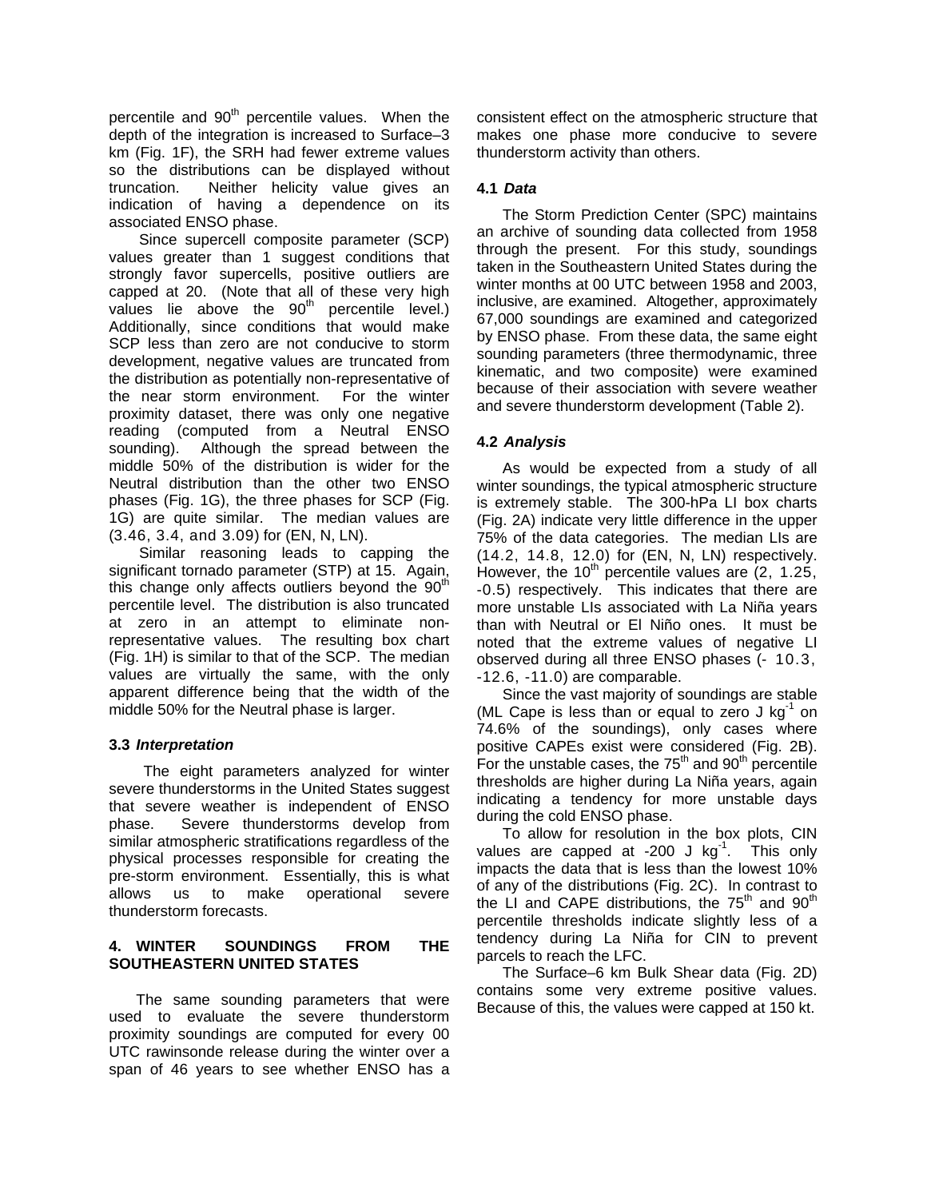percentile and 90<sup>th</sup> percentile values. When the depth of the integration is increased to Surface–3 km (Fig. 1F), the SRH had fewer extreme values so the distributions can be displayed without truncation. Neither helicity value gives an indication of having a dependence on its associated ENSO phase.

Since supercell composite parameter (SCP) values greater than 1 suggest conditions that strongly favor supercells, positive outliers are capped at 20. (Note that all of these very high values lie above the  $90<sup>th</sup>$  percentile level.) Additionally, since conditions that would make SCP less than zero are not conducive to storm development, negative values are truncated from the distribution as potentially non-representative of the near storm environment. For the winter proximity dataset, there was only one negative reading (computed from a Neutral ENSO sounding). Although the spread between the middle 50% of the distribution is wider for the Neutral distribution than the other two ENSO phases (Fig. 1G), the three phases for SCP (Fig. 1G) are quite similar. The median values are (3.46, 3.4, and 3.09) for (EN, N, LN).

Similar reasoning leads to capping the significant tornado parameter (STP) at 15. Again, this change only affects outliers beyond the  $90<sup>th</sup>$ percentile level. The distribution is also truncated at zero in an attempt to eliminate nonrepresentative values. The resulting box chart (Fig. 1H) is similar to that of the SCP. The median values are virtually the same, with the only apparent difference being that the width of the middle 50% for the Neutral phase is larger.

## **3.3** *Interpretation*

The eight parameters analyzed for winter severe thunderstorms in the United States suggest that severe weather is independent of ENSO phase. Severe thunderstorms develop from similar atmospheric stratifications regardless of the physical processes responsible for creating the pre-storm environment. Essentially, this is what allows us to make operational severe thunderstorm forecasts.

## **4. WINTER SOUNDINGS FROM THE SOUTHEASTERN UNITED STATES**

The same sounding parameters that were used to evaluate the severe thunderstorm proximity soundings are computed for every 00 UTC rawinsonde release during the winter over a span of 46 years to see whether ENSO has a consistent effect on the atmospheric structure that makes one phase more conducive to severe thunderstorm activity than others.

## **4.1** *Data*

The Storm Prediction Center (SPC) maintains an archive of sounding data collected from 1958 through the present. For this study, soundings taken in the Southeastern United States during the winter months at 00 UTC between 1958 and 2003, inclusive, are examined. Altogether, approximately 67,000 soundings are examined and categorized by ENSO phase. From these data, the same eight sounding parameters (three thermodynamic, three kinematic, and two composite) were examined because of their association with severe weather and severe thunderstorm development (Table 2).

# **4.2** *Analysis*

As would be expected from a study of all winter soundings, the typical atmospheric structure is extremely stable. The 300-hPa LI box charts (Fig. 2A) indicate very little difference in the upper 75% of the data categories. The median LIs are (14.2, 14.8, 12.0) for (EN, N, LN) respectively. However, the  $10^{th}$  percentile values are (2, 1.25, -0.5) respectively. This indicates that there are more unstable LIs associated with La Niña years than with Neutral or El Niño ones. It must be noted that the extreme values of negative LI observed during all three ENSO phases (- 10.3, -12.6, -11.0) are comparable.

Since the vast majority of soundings are stable (ML Cape is less than or equal to zero  $J kg^{-1}$  on 74.6% of the soundings), only cases where positive CAPEs exist were considered (Fig. 2B). For the unstable cases, the  $75<sup>th</sup>$  and  $90<sup>th</sup>$  percentile thresholds are higher during La Niña years, again indicating a tendency for more unstable days during the cold ENSO phase.

To allow for resolution in the box plots, CIN values are capped at  $-200$  J kg<sup>-1</sup>. This only impacts the data that is less than the lowest 10% of any of the distributions (Fig. 2C). In contrast to the LI and CAPE distributions, the  $75<sup>th</sup>$  and  $90<sup>th</sup>$ percentile thresholds indicate slightly less of a tendency during La Niña for CIN to prevent parcels to reach the LFC.

The Surface–6 km Bulk Shear data (Fig. 2D) contains some very extreme positive values. Because of this, the values were capped at 150 kt.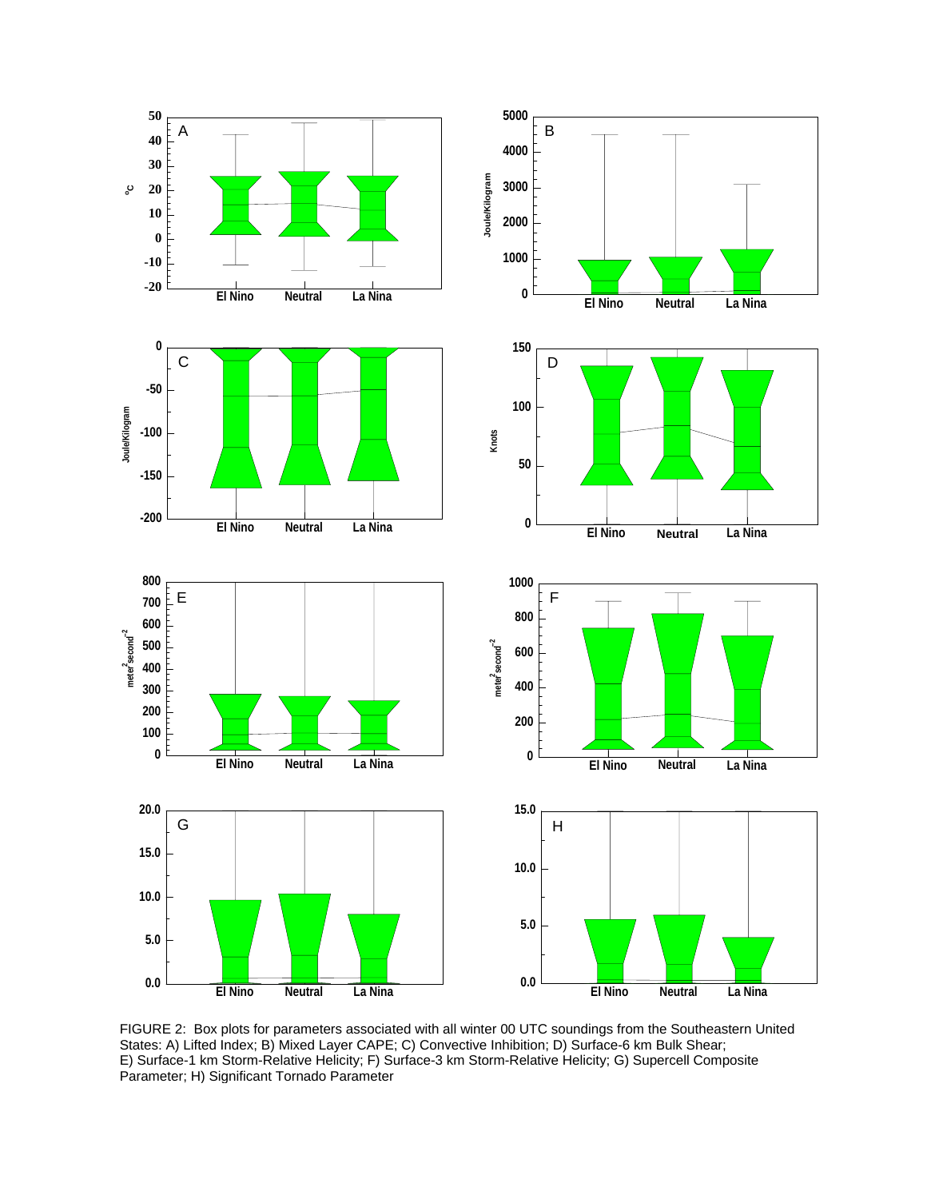

FIGURE 2: Box plots for parameters associated with all winter 00 UTC soundings from the Southeastern United States: A) Lifted Index; B) Mixed Layer CAPE; C) Convective Inhibition; D) Surface-6 km Bulk Shear; E) Surface-1 km Storm-Relative Helicity; F) Surface-3 km Storm-Relative Helicity; G) Supercell Composite Parameter; H) Significant Tornado Parameter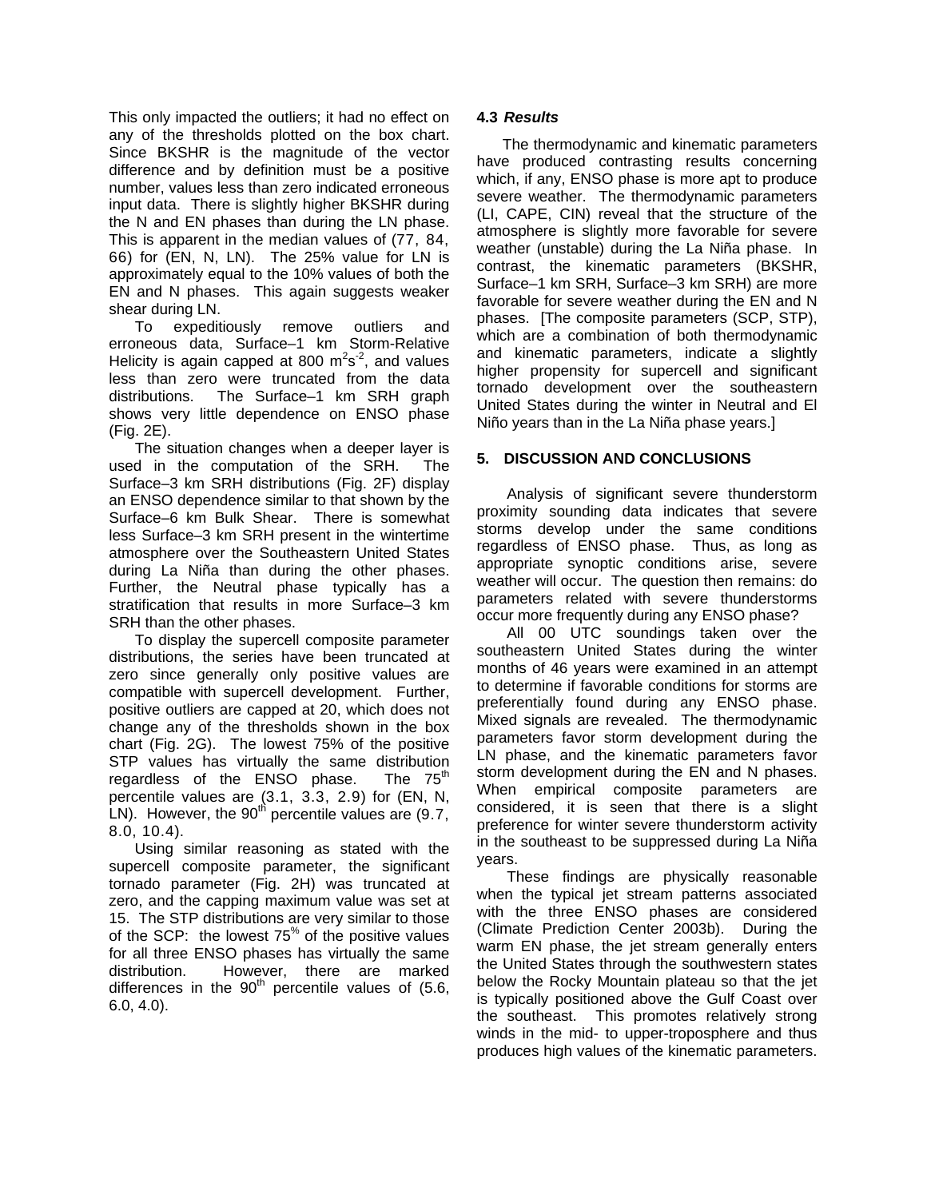This only impacted the outliers; it had no effect on any of the thresholds plotted on the box chart. Since BKSHR is the magnitude of the vector difference and by definition must be a positive number, values less than zero indicated erroneous input data. There is slightly higher BKSHR during the N and EN phases than during the LN phase. This is apparent in the median values of (77, 84, 66) for (EN, N, LN). The 25% value for LN is approximately equal to the 10% values of both the EN and N phases. This again suggests weaker shear during LN.

To expeditiously remove outliers and erroneous data, Surface–1 km Storm-Relative Helicity is again capped at 800  $\text{m}^2\text{s}^2$ , and values less than zero were truncated from the data distributions. The Surface–1 km SRH graph shows very little dependence on ENSO phase (Fig. 2E).

The situation changes when a deeper layer is used in the computation of the SRH. The Surface–3 km SRH distributions (Fig. 2F) display an ENSO dependence similar to that shown by the Surface–6 km Bulk Shear. There is somewhat less Surface–3 km SRH present in the wintertime atmosphere over the Southeastern United States during La Niña than during the other phases. Further, the Neutral phase typically has a stratification that results in more Surface–3 km SRH than the other phases.

To display the supercell composite parameter distributions, the series have been truncated at zero since generally only positive values are compatible with supercell development. Further, positive outliers are capped at 20, which does not change any of the thresholds shown in the box chart (Fig. 2G). The lowest 75% of the positive STP values has virtually the same distribution regardless of the ENSO phase. The  $75<sup>m</sup>$ percentile values are (3.1, 3.3, 2.9) for (EN, N, LN). However, the  $90<sup>th</sup>$  percentile values are (9.7, 8.0, 10.4).

Using similar reasoning as stated with the supercell composite parameter, the significant tornado parameter (Fig. 2H) was truncated at zero, and the capping maximum value was set at 15. The STP distributions are very similar to those of the SCP: the lowest  $75^{\%}$  of the positive values for all three ENSO phases has virtually the same distribution. However, there are marked differences in the  $90<sup>th</sup>$  percentile values of (5.6, 6.0, 4.0).

## **4.3** *Results*

The thermodynamic and kinematic parameters have produced contrasting results concerning which, if any, ENSO phase is more apt to produce severe weather. The thermodynamic parameters (LI, CAPE, CIN) reveal that the structure of the atmosphere is slightly more favorable for severe weather (unstable) during the La Niña phase. In contrast, the kinematic parameters (BKSHR, Surface–1 km SRH, Surface–3 km SRH) are more favorable for severe weather during the EN and N phases. [The composite parameters (SCP, STP), which are a combination of both thermodynamic and kinematic parameters, indicate a slightly higher propensity for supercell and significant tornado development over the southeastern United States during the winter in Neutral and El Niño years than in the La Niña phase years.]

# **5. DISCUSSION AND CONCLUSIONS**

Analysis of significant severe thunderstorm proximity sounding data indicates that severe storms develop under the same conditions regardless of ENSO phase. Thus, as long as appropriate synoptic conditions arise, severe weather will occur. The question then remains: do parameters related with severe thunderstorms occur more frequently during any ENSO phase?

All 00 UTC soundings taken over the southeastern United States during the winter months of 46 years were examined in an attempt to determine if favorable conditions for storms are preferentially found during any ENSO phase. Mixed signals are revealed. The thermodynamic parameters favor storm development during the LN phase, and the kinematic parameters favor storm development during the EN and N phases. When empirical composite parameters are considered, it is seen that there is a slight preference for winter severe thunderstorm activity in the southeast to be suppressed during La Niña years.

These findings are physically reasonable when the typical jet stream patterns associated with the three ENSO phases are considered (Climate Prediction Center 2003b). During the warm EN phase, the jet stream generally enters the United States through the southwestern states below the Rocky Mountain plateau so that the jet is typically positioned above the Gulf Coast over the southeast. This promotes relatively strong winds in the mid- to upper-troposphere and thus produces high values of the kinematic parameters.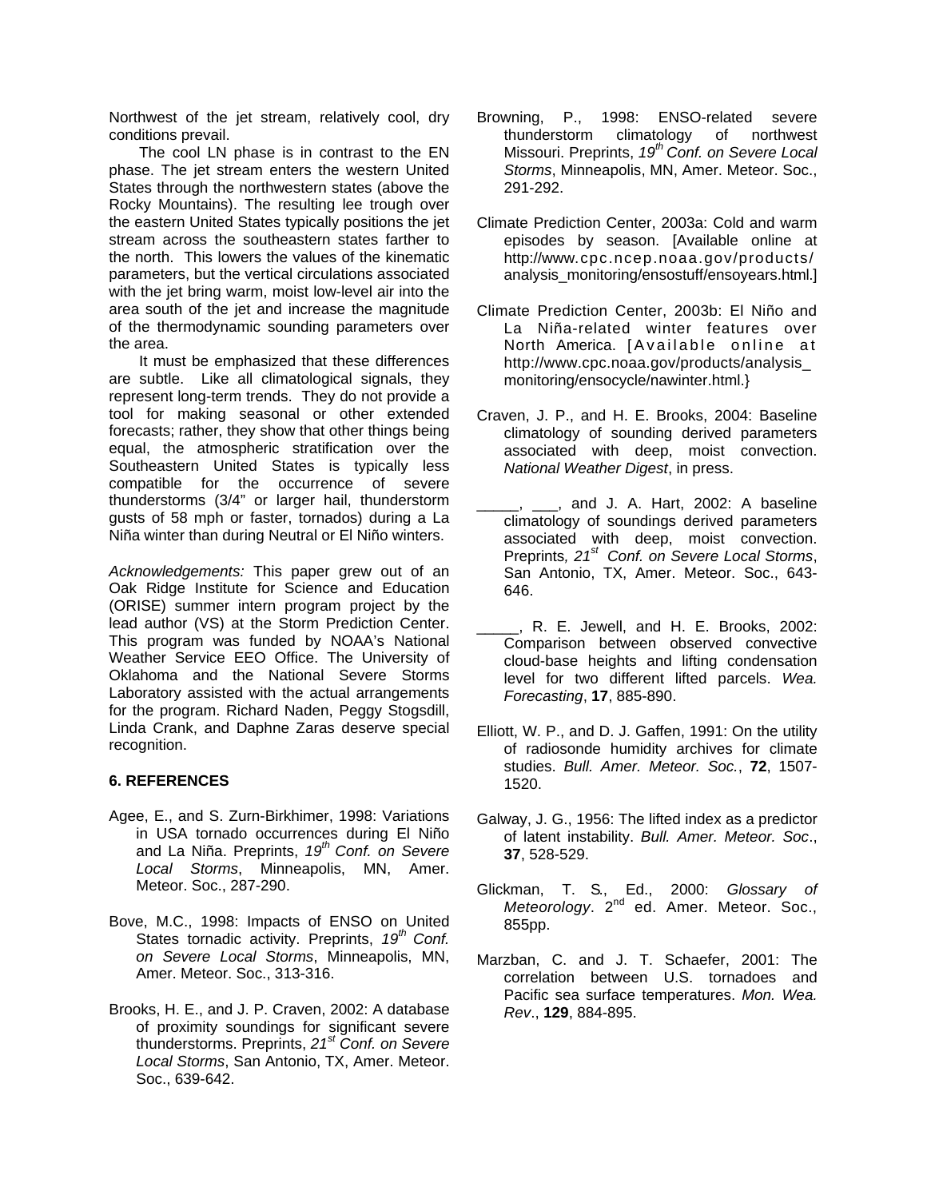Northwest of the jet stream, relatively cool, dry conditions prevail.

The cool LN phase is in contrast to the EN phase. The jet stream enters the western United States through the northwestern states (above the Rocky Mountains). The resulting lee trough over the eastern United States typically positions the jet stream across the southeastern states farther to the north. This lowers the values of the kinematic parameters, but the vertical circulations associated with the jet bring warm, moist low-level air into the area south of the jet and increase the magnitude of the thermodynamic sounding parameters over the area.

It must be emphasized that these differences are subtle. Like all climatological signals, they represent long-term trends. They do not provide a tool for making seasonal or other extended forecasts; rather, they show that other things being equal, the atmospheric stratification over the Southeastern United States is typically less compatible for the occurrence of severe thunderstorms (3/4" or larger hail, thunderstorm gusts of 58 mph or faster, tornados) during a La Niña winter than during Neutral or El Niño winters.

*Acknowledgements:* This paper grew out of an Oak Ridge Institute for Science and Education (ORISE) summer intern program project by the lead author (VS) at the Storm Prediction Center. This program was funded by NOAA's National Weather Service EEO Office. The University of Oklahoma and the National Severe Storms Laboratory assisted with the actual arrangements for the program. Richard Naden, Peggy Stogsdill, Linda Crank, and Daphne Zaras deserve special recognition.

## **6. REFERENCES**

- Agee, E., and S. Zurn-Birkhimer, 1998: Variations in USA tornado occurrences during El Niño and La Niña. Preprints, *19th Conf. on Severe Local Storms*, Minneapolis, MN, Amer. Meteor. Soc., 287-290.
- Bove, M.C., 1998: Impacts of ENSO on United States tornadic activity. Preprints, *19th Conf. on Severe Local Storms*, Minneapolis, MN, Amer. Meteor. Soc., 313-316.
- Brooks, H. E., and J. P. Craven, 2002: A database of proximity soundings for significant severe thunderstorms. Preprints, *21st Conf. on Severe Local Storms*, San Antonio, TX, Amer. Meteor. Soc., 639-642.
- Browning, P., 1998: ENSO-related severe thunderstorm climatology of northwest Missouri. Preprints, *19th Conf. on Severe Local Storms*, Minneapolis, MN, Amer. Meteor. Soc., 291-292.
- Climate Prediction Center, 2003a: Cold and warm episodes by season. [Available online at http://www.cpc.ncep.noaa.gov/products/ analysis\_monitoring/ensostuff/ensoyears.html.]
- Climate Prediction Center, 2003b: El Niño and La Niña-related winter features over North America. [Available online at http://www.cpc.noaa.gov/products/analysis\_ monitoring/ensocycle/nawinter.html.}
- Craven, J. P., and H. E. Brooks, 2004: Baseline climatology of sounding derived parameters associated with deep, moist convection. *National Weather Digest*, in press.
- $\Box$ ,  $\Box$ , and J. A. Hart, 2002: A baseline climatology of soundings derived parameters associated with deep, moist convection. Preprints*, 21st Conf. on Severe Local Storms*, San Antonio, TX, Amer. Meteor. Soc., 643- 646.
- \_\_\_\_\_, R. E. Jewell, and H. E. Brooks, 2002: Comparison between observed convective cloud-base heights and lifting condensation level for two different lifted parcels. *Wea. Forecasting*, **17**, 885-890.
- Elliott, W. P., and D. J. Gaffen, 1991: On the utility of radiosonde humidity archives for climate studies. *Bull. Amer. Meteor. Soc.*, **72**, 1507- 1520.
- Galway, J. G., 1956: The lifted index as a predictor of latent instability. *Bull. Amer. Meteor. Soc*., **37**, 528-529.
- Glickman, T. S., Ed., 2000: *Glossary of Meteorology*. 2nd ed. Amer. Meteor. Soc., 855pp.
- Marzban, C. and J. T. Schaefer, 2001: The correlation between U.S. tornadoes and Pacific sea surface temperatures. *Mon. Wea. Rev*., **129**, 884-895.